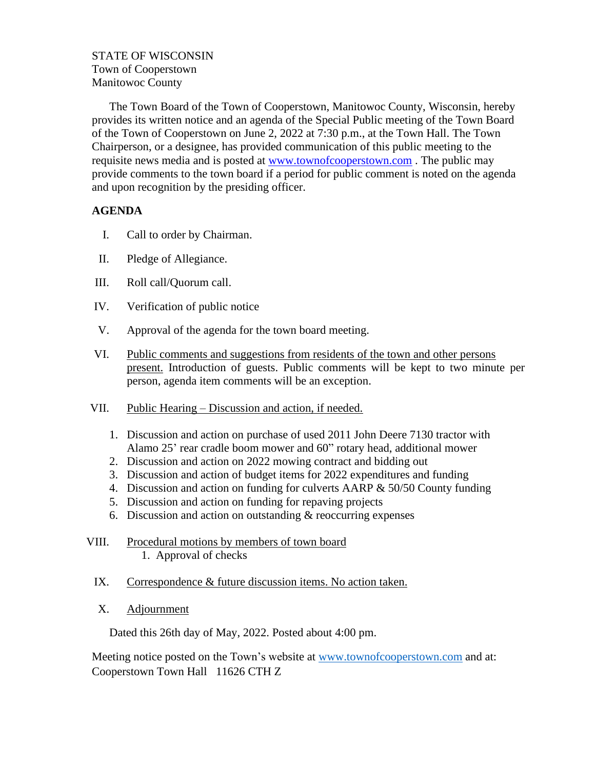## STATE OF WISCONSIN Town of Cooperstown Manitowoc County

The Town Board of the Town of Cooperstown, Manitowoc County, Wisconsin, hereby provides its written notice and an agenda of the Special Public meeting of the Town Board of the Town of Cooperstown on June 2, 2022 at 7:30 p.m., at the Town Hall. The Town Chairperson, or a designee, has provided communication of this public meeting to the requisite news media and is posted at [www.townofcooperstown.com](http://www.townofcooperstown.com/) . The public may provide comments to the town board if a period for public comment is noted on the agenda and upon recognition by the presiding officer.

## **AGENDA**

- I. Call to order by Chairman.
- II. Pledge of Allegiance.
- III. Roll call/Quorum call.
- IV. Verification of public notice
- V. Approval of the agenda for the town board meeting.
- VI. Public comments and suggestions from residents of the town and other persons present. Introduction of guests. Public comments will be kept to two minute per person, agenda item comments will be an exception.
- VII. Public Hearing Discussion and action, if needed.
	- 1. Discussion and action on purchase of used 2011 John Deere 7130 tractor with Alamo 25' rear cradle boom mower and 60" rotary head, additional mower
	- 2. Discussion and action on 2022 mowing contract and bidding out
	- 3. Discussion and action of budget items for 2022 expenditures and funding
	- 4. Discussion and action on funding for culverts AARP & 50/50 County funding
	- 5. Discussion and action on funding for repaving projects
	- 6. Discussion and action on outstanding & reoccurring expenses
- VIII. Procedural motions by members of town board 1. Approval of checks
	- IX. Correspondence & future discussion items. No action taken.
	- X. Adjournment

Dated this 26th day of May, 2022. Posted about 4:00 pm.

Meeting notice posted on the Town's website at www.townofcooperstown.co[m](http://www.townofhappyville.com/) and at: Cooperstown Town Hall 11626 CTH Z